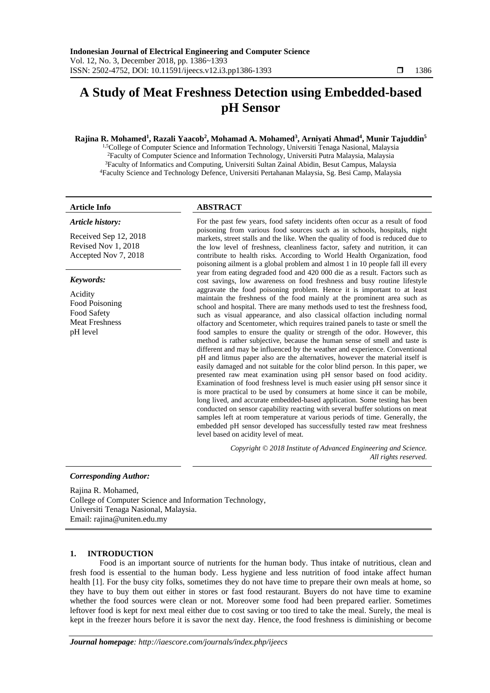# **A Study of Meat Freshness Detection using Embedded-based pH Sensor**

# **Rajina R. Mohamed<sup>1</sup> , Razali Yaacob<sup>2</sup> , Mohamad A. Mohamed<sup>3</sup> , Arniyati Ahmad<sup>4</sup> , Munir Tajuddin<sup>5</sup>**

<sup>1,5</sup>College of Computer Science and Information Technology, Universiti Tenaga Nasional, Malaysia Faculty of Computer Science and Information Technology, Universiti Putra Malaysia, Malaysia Faculty of Informatics and Computing, Universiti Sultan Zainal Abidin, Besut Campus, Malaysia Faculty Science and Technology Defence, Universiti Pertahanan Malaysia, Sg. Besi Camp, Malaysia

#### *Article history:*

Received Sep 12, 2018 Revised Nov 1, 2018 Accepted Nov 7, 2018

#### *Keywords:*

Acidity Food Poisoning Food Safety Meat Freshness pH level

# **Article Info ABSTRACT**

For the past few years, food safety incidents often occur as a result of food poisoning from various food sources such as in schools, hospitals, night markets, street stalls and the like. When the quality of food is reduced due to the low level of freshness, cleanliness factor, safety and nutrition, it can contribute to health risks. According to World Health Organization, food poisoning ailment is a global problem and almost 1 in 10 people fall ill every year from eating degraded food and 420 000 die as a result. Factors such as cost savings, low awareness on food freshness and busy routine lifestyle aggravate the food poisoning problem. Hence it is important to at least maintain the freshness of the food mainly at the prominent area such as school and hospital. There are many methods used to test the freshness food, such as visual appearance, and also classical olfaction including normal olfactory and Scentometer, which requires trained panels to taste or smell the food samples to ensure the quality or strength of the odor. However, this method is rather subjective, because the human sense of smell and taste is different and may be influenced by the weather and experience. Conventional pH and litmus paper also are the alternatives, however the material itself is easily damaged and not suitable for the color blind person. In this paper, we presented raw meat examination using pH sensor based on food acidity. Examination of food freshness level is much easier using pH sensor since it is more practical to be used by consumers at home since it can be mobile, long lived, and accurate embedded-based application. Some testing has been conducted on sensor capability reacting with several buffer solutions on meat samples left at room temperature at various periods of time. Generally, the embedded pH sensor developed has successfully tested raw meat freshness level based on acidity level of meat.

> *Copyright © 2018 Institute of Advanced Engineering and Science. All rights reserved.*

#### *Corresponding Author:*

Rajina R. Mohamed, College of Computer Science and Information Technology, Universiti Tenaga Nasional, Malaysia. Email: rajina@uniten.edu.my

#### **1. INTRODUCTION**

Food is an important source of nutrients for the human body. Thus intake of nutritious, clean and fresh food is essential to the human body. Less hygiene and less nutrition of food intake affect human health [1]. For the busy city folks, sometimes they do not have time to prepare their own meals at home, so they have to buy them out either in stores or fast food restaurant. Buyers do not have time to examine whether the food sources were clean or not. Moreover some food had been prepared earlier. Sometimes leftover food is kept for next meal either due to cost saving or too tired to take the meal. Surely, the meal is kept in the freezer hours before it is savor the next day. Hence, the food freshness is diminishing or become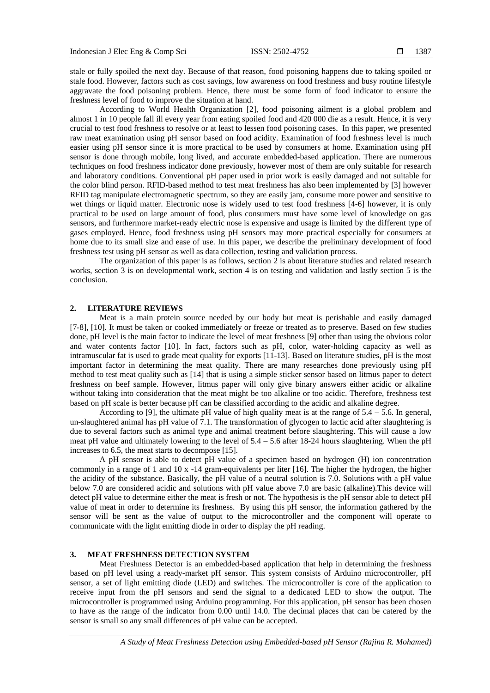stale or fully spoiled the next day. Because of that reason, food poisoning happens due to taking spoiled or stale food. However, factors such as cost savings, low awareness on food freshness and busy routine lifestyle aggravate the food poisoning problem. Hence, there must be some form of food indicator to ensure the freshness level of food to improve the situation at hand.

According to World Health Organization [2], food poisoning ailment is a global problem and almost 1 in 10 people fall ill every year from eating spoiled food and 420 000 die as a result. Hence, it is very crucial to test food freshness to resolve or at least to lessen food poisoning cases. In this paper, we presented raw meat examination using pH sensor based on food acidity. Examination of food freshness level is much easier using pH sensor since it is more practical to be used by consumers at home. Examination using pH sensor is done through mobile, long lived, and accurate embedded-based application. There are numerous techniques on food freshness indicator done previously, however most of them are only suitable for research and laboratory conditions. Conventional pH paper used in prior work is easily damaged and not suitable for the color blind person. RFID-based method to test meat freshness has also been implemented by [3] however RFID tag manipulate electromagnetic spectrum, so they are easily jam, consume more power and sensitive to wet things or liquid matter. Electronic nose is widely used to test food freshness [4-6] however, it is only practical to be used on large amount of food, plus consumers must have some level of knowledge on gas sensors, and furthermore market-ready electric nose is expensive and usage is limited by the different type of gases employed. Hence, food freshness using pH sensors may more practical especially for consumers at home due to its small size and ease of use. In this paper, we describe the preliminary development of food freshness test using pH sensor as well as data collection, testing and validation process.

The organization of this paper is as follows, section 2 is about literature studies and related research works, section 3 is on developmental work, section 4 is on testing and validation and lastly section 5 is the conclusion.

## **2. LITERATURE REVIEWS**

Meat is a main protein source needed by our body but meat is perishable and easily damaged [7-8], [10]. It must be taken or cooked immediately or freeze or treated as to preserve. Based on few studies done, pH level is the main factor to indicate the level of meat freshness [9] other than using the obvious color and water contents factor [10]. In fact, factors such as pH, color, water-holding capacity as well as intramuscular fat is used to grade meat quality for exports [11-13]. Based on literature studies, pH is the most important factor in determining the meat quality. There are many researches done previously using pH method to test meat quality such as [14] that is using a simple sticker sensor based on litmus paper to detect freshness on beef sample. However, litmus paper will only give binary answers either acidic or alkaline without taking into consideration that the meat might be too alkaline or too acidic. Therefore, freshness test based on pH scale is better because pH can be classified according to the acidic and alkaline degree.

According to [9], the ultimate pH value of high quality meat is at the range of  $5.4 - 5.6$ . In general, un-slaughtered animal has pH value of 7.1. The transformation of glycogen to lactic acid after slaughtering is due to several factors such as animal type and animal treatment before slaughtering. This will cause a low meat pH value and ultimately lowering to the level of  $5.4 - 5.6$  after 18-24 hours slaughtering. When the pH increases to 6.5, the meat starts to decompose [15].

A pH sensor is able to detect pH value of a specimen based on hydrogen (H) ion concentration commonly in a range of 1 and 10 x -14 gram-equivalents per liter [16]. The higher the hydrogen, the higher the acidity of the substance. Basically, the pH value of a neutral solution is 7.0. Solutions with a pH value below 7.0 are considered acidic and solutions with pH value above 7.0 are basic (alkaline).This device will detect pH value to determine either the meat is fresh or not. The hypothesis is the pH sensor able to detect pH value of meat in order to determine its freshness. By using this pH sensor, the information gathered by the sensor will be sent as the value of output to the microcontroller and the component will operate to communicate with the light emitting diode in order to display the pH reading.

# **3. MEAT FRESHNESS DETECTION SYSTEM**

Meat Freshness Detector is an embedded-based application that help in determining the freshness based on pH level using a ready-market pH sensor. This system consists of Arduino microcontroller, pH sensor, a set of light emitting diode (LED) and switches. The microcontroller is core of the application to receive input from the pH sensors and send the signal to a dedicated LED to show the output. The microcontroller is programmed using Arduino programming. For this application, pH sensor has been chosen to have as the range of the indicator from 0.00 until 14.0. The decimal places that can be catered by the sensor is small so any small differences of pH value can be accepted.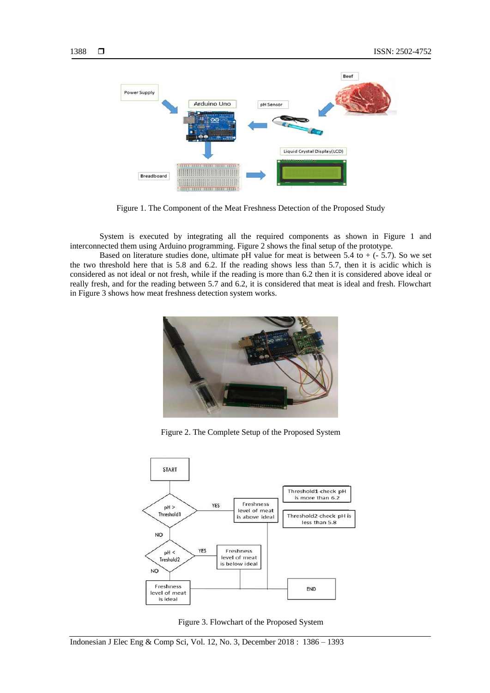

Figure 1. The Component of the Meat Freshness Detection of the Proposed Study

System is executed by integrating all the required components as shown in Figure 1 and interconnected them using Arduino programming. Figure 2 shows the final setup of the prototype.

Based on literature studies done, ultimate pH value for meat is between  $5.4$  to  $+$  ( $-5.7$ ). So we set the two threshold here that is 5.8 and 6.2. If the reading shows less than 5.7, then it is acidic which is considered as not ideal or not fresh, while if the reading is more than 6.2 then it is considered above ideal or really fresh, and for the reading between 5.7 and 6.2, it is considered that meat is ideal and fresh. Flowchart in Figure 3 shows how meat freshness detection system works.



Figure 2. The Complete Setup of the Proposed System



Figure 3. Flowchart of the Proposed System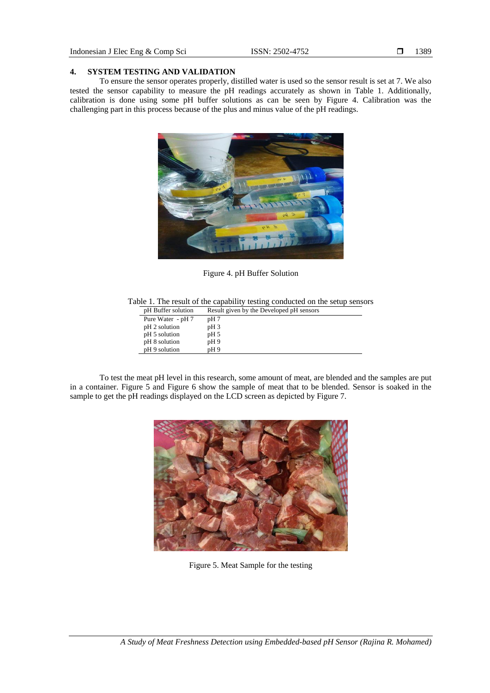# **4. SYSTEM TESTING AND VALIDATION**

To ensure the sensor operates properly, distilled water is used so the sensor result is set at 7. We also tested the sensor capability to measure the pH readings accurately as shown in Table 1. Additionally, calibration is done using some pH buffer solutions as can be seen by Figure 4. Calibration was the challenging part in this process because of the plus and minus value of the pH readings.



Figure 4. pH Buffer Solution

Table 1. The result of the capability testing conducted on the setup sensors

| pH Buffer solution | Result given by the Developed pH sensors |
|--------------------|------------------------------------------|
| Pure Water - pH 7  | pH 7                                     |
| pH 2 solution      | pH <sub>3</sub>                          |
| pH 5 solution      | pH 5                                     |
| pH 8 solution      | pH9                                      |
| pH 9 solution      | pH9                                      |

To test the meat pH level in this research, some amount of meat, are blended and the samples are put in a container. Figure 5 and Figure 6 show the sample of meat that to be blended. Sensor is soaked in the sample to get the pH readings displayed on the LCD screen as depicted by Figure 7.



Figure 5. Meat Sample for the testing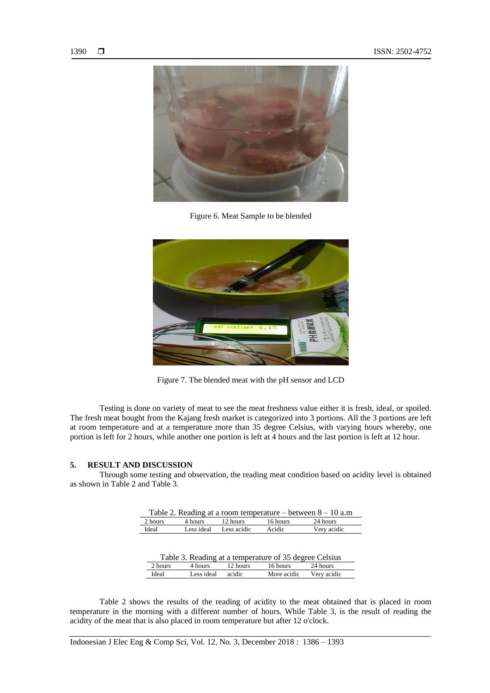

Figure 6. Meat Sample to be blended



Figure 7. The blended meat with the pH sensor and LCD

Testing is done on variety of meat to see the meat freshness value either it is fresh, ideal, or spoiled. The fresh meat bought from the Kajang fresh market is categorized into 3 portions. All the 3 portions are left at room temperature and at a temperature more than 35 degree Celsius, with varying hours whereby, one portion is left for 2 hours, while another one portion is left at 4 hours and the last portion is left at 12 hour.

#### **5. RESULT AND DISCUSSION**

Through some testing and observation, the reading meat condition based on acidity level is obtained as shown in Table 2 and Table 3.

| Table 2. Reading at a room temperature – between $8 - 10$ a.m |         |                        |          |             |
|---------------------------------------------------------------|---------|------------------------|----------|-------------|
| 2 hours                                                       | 4 hours | 12 hours               | 16 hours | 24 hours    |
| Ideal                                                         |         | Less ideal Less acidic | Acidic   | Very acidic |

| Table 3. Reading at a temperature of 35 degree Celsius |            |          |             |             |
|--------------------------------------------------------|------------|----------|-------------|-------------|
| 2 hours                                                | 4 hours    | 12 hours | 16 hours    | 24 hours    |
| Ideal                                                  | Less ideal | acidic   | More acidic | Very acidic |

Table 2 shows the results of the reading of acidity to the meat obtained that is placed in room temperature in the morning with a different number of hours. While Table 3, is the result of reading the acidity of the meat that is also placed in room temperature but after 12 o'clock.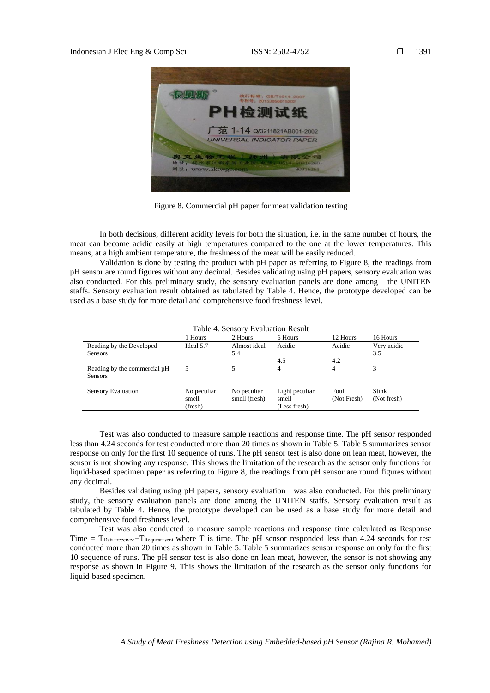

Figure 8. Commercial pH paper for meat validation testing

In both decisions, different acidity levels for both the situation, i.e. in the same number of hours, the meat can become acidic easily at high temperatures compared to the one at the lower temperatures. This means, at a high ambient temperature, the freshness of the meat will be easily reduced.

Validation is done by testing the product with pH paper as referring to Figure 8, the readings from pH sensor are round figures without any decimal. Besides validating using pH papers, sensory evaluation was also conducted. For this preliminary study, the sensory evaluation panels are done among the UNITEN staffs. Sensory evaluation result obtained as tabulated by Table 4. Hence, the prototype developed can be used as a base study for more detail and comprehensive food freshness level.

| I able 4. Selisol y Evaluation Result          |                                 |                              |                                         |                     |                      |
|------------------------------------------------|---------------------------------|------------------------------|-----------------------------------------|---------------------|----------------------|
|                                                | 1 Hours                         | 2 Hours                      | 6 Hours                                 | 12 Hours            | 16 Hours             |
| Reading by the Developed                       | Ideal 5.7                       | Almost ideal                 | Acidic                                  | Acidic              | Very acidic          |
| <b>Sensors</b>                                 |                                 | 5.4                          |                                         |                     | 3.5                  |
|                                                |                                 |                              | 4.5                                     | 4.2                 |                      |
| Reading by the commercial pH<br><b>Sensors</b> |                                 |                              | 4                                       | 4                   | 3                    |
| Sensory Evaluation                             | No peculiar<br>smell<br>(fresh) | No peculiar<br>smell (fresh) | Light peculiar<br>smell<br>(Less fresh) | Foul<br>(Not Fresh) | Stink<br>(Not fresh) |

# Table 4. Sensory Evaluation Result

Test was also conducted to measure sample reactions and response time. The pH sensor responded less than 4.24 seconds for test conducted more than 20 times as shown in Table 5. Table 5 summarizes sensor response on only for the first 10 sequence of runs. The pH sensor test is also done on lean meat, however, the sensor is not showing any response. This shows the limitation of the research as the sensor only functions for liquid-based specimen paper as referring to Figure 8, the readings from pH sensor are round figures without any decimal.

Besides validating using pH papers, sensory evaluation was also conducted. For this preliminary study, the sensory evaluation panels are done among the UNITEN staffs. Sensory evaluation result as tabulated by Table 4. Hence, the prototype developed can be used as a base study for more detail and comprehensive food freshness level.

Test was also conducted to measure sample reactions and response time calculated as Response Time = T<sub>Data-received</sub>-T<sub>Request-sent</sub> where T is time. The pH sensor responded less than 4.24 seconds for test conducted more than 20 times as shown in Table 5. Table 5 summarizes sensor response on only for the first 10 sequence of runs. The pH sensor test is also done on lean meat, however, the sensor is not showing any response as shown in Figure 9. This shows the limitation of the research as the sensor only functions for liquid-based specimen.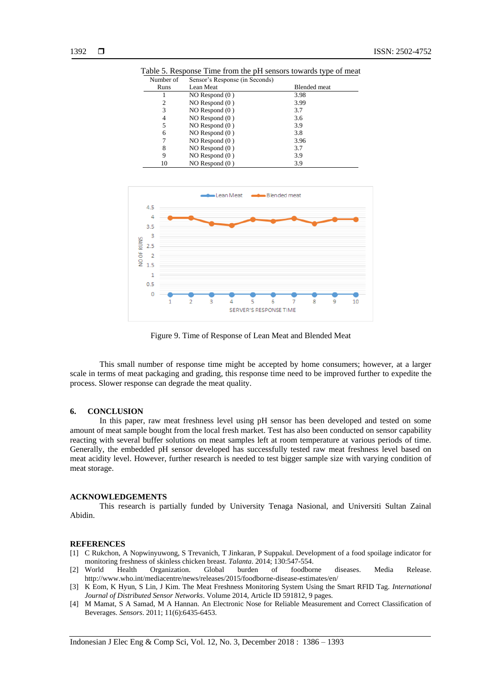| Number of      | Sensor's Response (in Seconds) |                     |
|----------------|--------------------------------|---------------------|
| Runs           | Lean Meat                      | <b>Blended</b> meat |
|                | $NO$ Respond $(0)$             | 3.98                |
| $\overline{c}$ | $NO$ Respond $(0)$             | 3.99                |
| 3              | $NO$ Respond $(0)$             | 3.7                 |
| 4              | $NO$ Respond $(0)$             | 3.6                 |
| 5              | NO Respond $(0)$               | 3.9                 |
| 6              | $NO$ Respond $(0)$             | 3.8                 |
| 7              | $NO$ Respond $(0)$             | 3.96                |
| 8              | $NO$ Respond $(0)$             | 3.7                 |
| 9              | $NO$ Respond $(0)$             | 3.9                 |
| 10             | $NO$ Respond $(0)$             | 3.9                 |

Table 5. Response Time from the pH sensors towards type of meat



Figure 9. Time of Response of Lean Meat and Blended Meat

This small number of response time might be accepted by home consumers; however, at a larger scale in terms of meat packaging and grading, this response time need to be improved further to expedite the process. Slower response can degrade the meat quality.

#### **6. CONCLUSION**

In this paper, raw meat freshness level using pH sensor has been developed and tested on some amount of meat sample bought from the local fresh market. Test has also been conducted on sensor capability reacting with several buffer solutions on meat samples left at room temperature at various periods of time. Generally, the embedded pH sensor developed has successfully tested raw meat freshness level based on meat acidity level. However, further research is needed to test bigger sample size with varying condition of meat storage.

#### **ACKNOWLEDGEMENTS**

This research is partially funded by University Tenaga Nasional, and Universiti Sultan Zainal Abidin.

#### **REFERENCES**

- [1] C Rukchon, A Nopwinyuwong, S Trevanich, T Jinkaran, P Suppakul. Development of a food spoilage indicator for monitoring freshness of skinless chicken breast. *Talanta*. 2014; 130:547-554.
- [2] World Health Organization. Global burden of foodborne diseases. Media Release. http://www.who.int/mediacentre/news/releases/2015/foodborne-disease-estimates/en/
- [3] K Eom, K Hyun, S Lin, J Kim. The Meat Freshness Monitoring System Using the Smart RFID Tag. *International Journal of Distributed Sensor Networks*. Volume 2014, Article ID 591812, 9 pages.
- [4] M Mamat, S A Samad, M A Hannan. An Electronic Nose for Reliable Measurement and Correct Classification of Beverages. *Sensors*. 2011; 11(6):6435-6453.